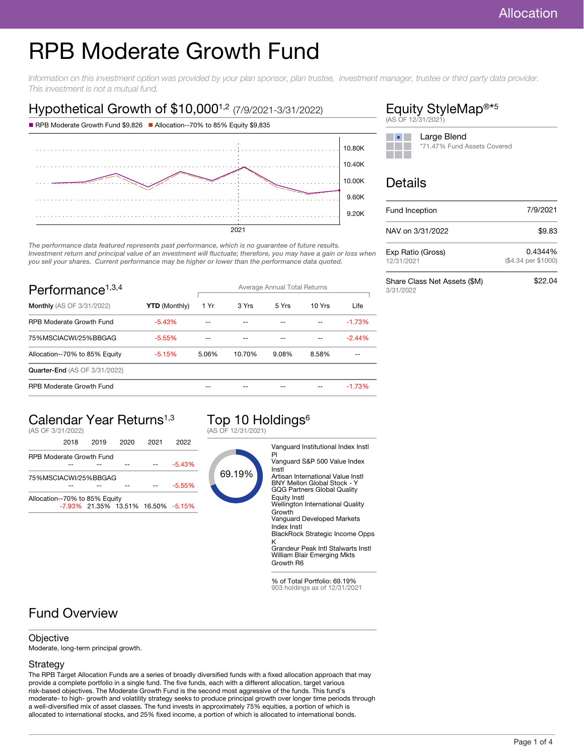# RPB Moderate Growth Fund

Information on this investment option was provided by your plan sponsor, plan trustee, investment manager, trustee or third party data provider. This investment is not a mutual fund.

### Hypothetical Growth of \$10,000<sup>1,2</sup> (7/9/2021-3/31/2022)



The performance data featured represents past performance, which is no guarantee of future results. Investment return and principal value of an investment will fluctuate; therefore, you may have a gain or loss when you sell your shares. Current performance may be higher or lower than the performance data quoted.

| Performance <sup>1,3,4</sup>         |                      | Average Annual Total Returns |        |       |        |          |
|--------------------------------------|----------------------|------------------------------|--------|-------|--------|----------|
| <b>Monthly</b> (AS OF 3/31/2022)     | <b>YTD (Monthly)</b> | 1 Yr                         | 3 Yrs  | 5 Yrs | 10 Yrs | Life     |
| <b>RPB Moderate Growth Fund</b>      | $-5.43%$             |                              |        |       |        | $-1.73%$ |
| 75%MSCIACWI/25%BBGAG                 | $-5.55%$             |                              |        |       |        | $-2.44%$ |
| Allocation--70% to 85% Equity        | $-5.15%$             | 5.06%                        | 10.70% | 9.08% | 8.58%  |          |
| <b>Quarter-End (AS OF 3/31/2022)</b> |                      |                              |        |       |        |          |
| <b>RPB Moderate Growth Fund</b>      |                      |                              |        |       |        | $-1.73%$ |

## Calendar Year Returns1,3

(AS OF 3/31/2022)

|                                 | 2018 | 2019                               | 2020 | 2021 | 2022     |
|---------------------------------|------|------------------------------------|------|------|----------|
| <b>RPB Moderate Growth Fund</b> |      |                                    |      |      |          |
|                                 |      |                                    |      |      | $-5.43%$ |
| 75%MSCIACWI/25%BBGAG            |      |                                    |      |      |          |
|                                 |      |                                    |      |      | $-5.55%$ |
| Allocation--70% to 85% Equity   |      |                                    |      |      |          |
|                                 |      | -7.93% 21.35% 13.51% 16.50% -5.15% |      |      |          |
|                                 |      |                                    |      |      |          |

#### Top 10 Holdings<sup>6</sup> (AS OF 12/31/2021)



% of Total Portfolio: 69.19% 903 holdings as of 12/31/2021

### Fund Overview

#### **Objective**

Moderate, long-term principal growth.

#### Strategy

The RPB Target Allocation Funds are a series of broadly diversified funds with a fixed allocation approach that may provide a complete portfolio in a single fund. The five funds, each with a different allocation, target various risk-based objectives. The Moderate Growth Fund is the second most aggressive of the funds. This fund's moderate- to high- growth and volatility strategy seeks to produce principal growth over longer time periods through a well-diversified mix of asset classes. The fund invests in approximately 75% equities, a portion of which is allocated to international stocks, and 25% fixed income, a portion of which is allocated to international bonds.

#### Equity StyleMap<sup>®\*5</sup> (AS OF 12/31/2021)

| Large Blend                 |
|-----------------------------|
| *71.47% Fund Assets Covered |
|                             |

#### Details

| Fund Inception                            | 7/9/2021                       |
|-------------------------------------------|--------------------------------|
| NAV on 3/31/2022                          | \$9.83                         |
| Exp Ratio (Gross)<br>12/31/2021           | 0.4344%<br>(\$4.34 per \$1000) |
| Share Class Net Assets (\$M)<br>3/31/2022 | \$22.04                        |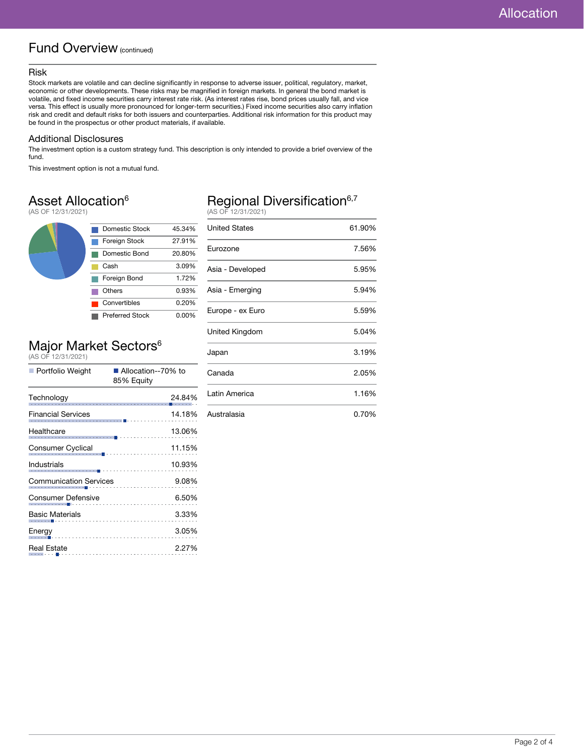### Fund Overview (continued)

#### Risk

Stock markets are volatile and can decline significantly in response to adverse issuer, political, regulatory, market, economic or other developments. These risks may be magnified in foreign markets. In general the bond market is volatile, and fixed income securities carry interest rate risk. (As interest rates rise, bond prices usually fall, and vice versa. This effect is usually more pronounced for longer-term securities.) Fixed income securities also carry inflation risk and credit and default risks for both issuers and counterparties. Additional risk information for this product may be found in the prospectus or other product materials, if available.

#### Additional Disclosures

The investment option is a custom strategy fund. This description is only intended to provide a brief overview of the fund.

This investment option is not a mutual fund.

### Asset Allocation<sup>6</sup>

(AS OF 12/31/2021)



# Major Market Sectors<sup>6</sup><br>(AS OF 12/31/2021)

| ■ Portfolio Weight            | Allocation--70% to<br>85% Equity                       |  |  |
|-------------------------------|--------------------------------------------------------|--|--|
| Technology                    | 24.84%                                                 |  |  |
| Financial Services            | 14.18%                                                 |  |  |
| Healthcare                    | 13.06%<br>.                                            |  |  |
| Consumer Cyclical             | 11.15%<br> <br> --- <mark>-</mark> ------------------- |  |  |
| Industrials                   | 10.93%<br>.                                            |  |  |
| <b>Communication Services</b> | 9.08%<br>.                                             |  |  |
| Consumer Defensive            | 6.50%                                                  |  |  |
| <b>Basic Materials</b>        | 3.33%                                                  |  |  |
| Energy                        | 3.05%                                                  |  |  |
| <b>Real Estate</b>            | 2.27%                                                  |  |  |

# Regional Diversification<sup>6,7</sup><br>(AS OF 12/31/2021)

| <b>United States</b> | 61.90% |
|----------------------|--------|
| Eurozone             | 7.56%  |
| Asia - Developed     | 5.95%  |
| Asia - Emerging      | 5.94%  |
| Europe - ex Euro     | 5.59%  |
| United Kingdom       | 5.04%  |
| Japan                | 3.19%  |
| Canada               | 2.05%  |
| Latin America        | 1.16%  |
| Australasia          | 0.70%  |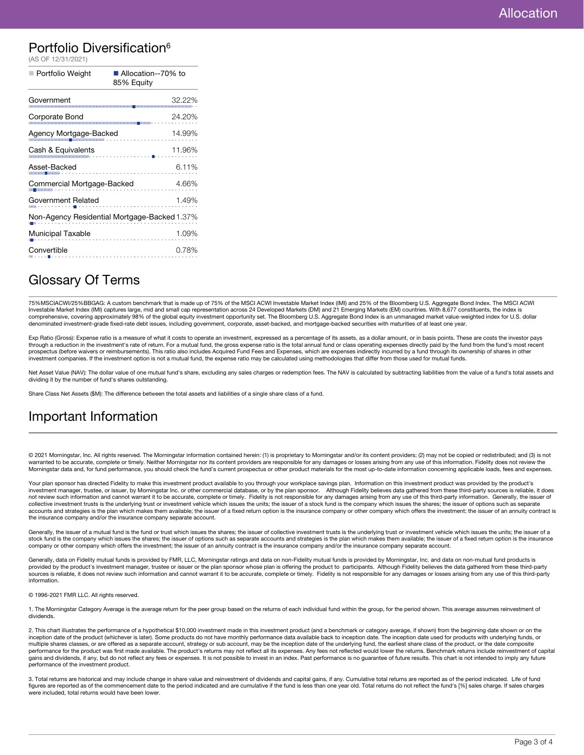### Portfolio Diversification<sup>6</sup>

| (AS OF 12/31/2021)                           |                                    |  |
|----------------------------------------------|------------------------------------|--|
| Portfolio Weight                             | ■ Allocation--70% to<br>85% Equity |  |
| Government                                   | 32.22%                             |  |
| Corporate Bond                               | 24.20%                             |  |
| Agency Mortgage-Backed<br>14.99%             |                                    |  |
| Cash & Equivalents                           | 11.96%                             |  |
| Asset-Backed                                 | 6.11%                              |  |
| Commercial Mortgage-Backed<br>4.66%          |                                    |  |
| 1.49%<br>Government Related                  |                                    |  |
| Non-Agency Residential Mortgage-Backed 1.37% |                                    |  |
| Municipal Taxable                            | 1.09%                              |  |
| Convertible                                  | 0.78%                              |  |

### Glossary Of Terms

75%MSCIACWI/25%BBGAG: A custom benchmark that is made up of 75% of the MSCI ACWI Investable Market Index (IMI) and 25% of the Bloomberg U.S. Aggregate Bond Index. The MSCI ACWI<br>Investable Market Index (IMI) captures large, comprehensive, covering approximately 98% of the global equity investment opportunity set. The Bloomberg U.S. Aggregate Bond Index is an unmanaged market value-weighted index for U.S. dollar denominated investment-grade fixed-rate debt issues, including government, corporate, asset-backed, and mortgage-backed securities with maturities of at least one year.

Exp Ratio (Gross): Expense ratio is a measure of what it costs to operate an investment, expressed as a percentage of its assets, as a dollar amount, or in basis points. These are costs the investor pays through a reduction in the investment's rate of return. For a mutual fund, the gross expense ratio is the total annual fund or class operating expenses directly paid by the fund from the fund's most recent prospectus (before waivers or reimbursements). This ratio also includes Acquired Fund Fees and Expenses, which are expenses indirectly incurred by a fund through its ownership of shares in other investment companies. If the investment option is not a mutual fund, the expense ratio may be calculated using methodologies that differ from those used for mutual funds.

Net Asset Value (NAV): The dollar value of one mutual fund's share, excluding any sales charges or redemption fees. The NAV is calculated by subtracting liabilities from the value of a fund's total assets and dividing it by the number of fund's shares outstanding.

Share Class Net Assets (\$M): The difference between the total assets and liabilities of a single share class of a fund.

### Important Information

© 2021 Morningstar, Inc. All rights reserved. The Morningstar information contained herein: (1) is proprietary to Morningstar and/or its content providers; (2) may not be copied or redistributed; and (3) is not warranted to be accurate, complete or timely. Neither Morningstar nor its content providers are responsible for any damages or losses arising from any use of this information. Fidelity does not review the Morningstar data and, for fund performance, you should check the fund's current prospectus or other product materials for the most up-to-date information concerning applicable loads, fees and expenses.

Your plan sponsor has directed Fidelity to make this investment product available to you through your workplace savings plan. Information on this investment product was provided by the product's investment manager, trustee, or issuer, by Morningstar Inc. or other commercial database, or by the plan sponsor. Although Fidelity believes data gathered from these third-party sources is reliable, it does not review such information and cannot warrant it to be accurate, complete or timely. Fidelity is not responsible for any damages arising from any use of this third-party information. Generally, the issuer of collective investment trusts is the underlying trust or investment vehicle which issues the units; the issuer of a stock fund is the company which issues the shares; the issuer of options such as separate accounts and strategies is the plan which makes them available; the issuer of a fixed return option is the insurance company or other company which offers the investment; the issuer of an annuity contract is the insurance company and/or the insurance company separate account.

Generally, the issuer of a mutual fund is the fund or trust which issues the shares; the issuer of collective investment trusts is the underlying trust or investment vehicle which issues the units; the issuer of a stock fund is the company which issues the shares; the issuer of options such as separate accounts and strategies is the plan which makes them available; the issuer of a fixed return option is the insurance company or other company which offers the investment; the issuer of an annuity contract is the insurance company and/or the insurance company separate account.

Generally, data on Fidelity mutual funds is provided by FMR, LLC, Morningstar ratings and data on non-Fidelity mutual funds is provided by Morningstar, Inc. and data on non-mutual fund products is provided by the product's investment manager, trustee or issuer or the plan sponsor whose plan is offering the product to participants. Although Fidelity believes the data gathered from these third-party<br>sources is reliab information.

© 1996-2021 FMR LLC. All rights reserved.

1. The Morningstar Category Average is the average return for the peer group based on the returns of each individual fund within the group, for the period shown. This average assumes reinvestment of dividends.

2. This chart illustrates the performance of a hypothetical \$10,000 investment made in this investment product (and a benchmark or category average, if shown) from the beginning date shown or on the<br>inception date of the p multiple shares classes, or are offered as a separate account, strategy or sub account, may be the inception date of the underlying fund, the earliest share class of the product, or the date composite performance for the product was first made available. The product's returns may not reflect all its expenses. Any fees not reflected would lower the returns. Benchmark returns include reinvestment of capital gains and dividends, if any, but do not reflect any fees or expenses. It is not possible to invest in an index. Past performance is no guarantee of future results. This chart is not intended to imply any future performance of the investment product.

3. Total returns are historical and may include change in share value and reinvestment of dividends and capital gains, if any. Cumulative total returns are reported as of the period indicated. Life of fund figures are reported as of the commencement date to the period indicated and are cumulative if the fund is less than one year old. Total returns do not reflect the fund's [%] sales charge. If sales charges were included, total returns would have been lower.